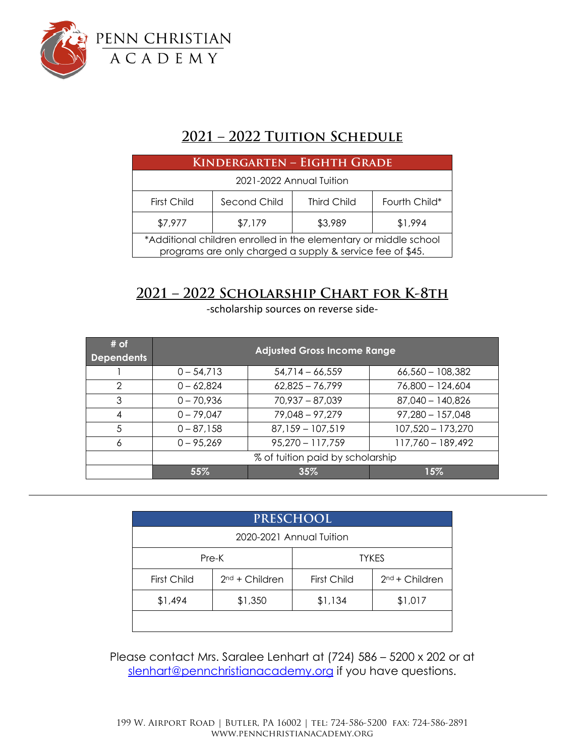

## **2021 – 2022 Tuition Schedule**

| KINDERGARTEN - EIGHTH GRADE                                                                                                   |              |                    |               |  |  |  |
|-------------------------------------------------------------------------------------------------------------------------------|--------------|--------------------|---------------|--|--|--|
| 2021-2022 Annual Tuition                                                                                                      |              |                    |               |  |  |  |
| First Child                                                                                                                   | Second Child | <b>Third Child</b> | Fourth Child* |  |  |  |
| \$7,977                                                                                                                       | \$7,179      | \$3,989            | \$1,994       |  |  |  |
| *Additional children enrolled in the elementary or middle school<br>programs are only charged a supply & service fee of \$45. |              |                    |               |  |  |  |

## **2021 – 2022 Scholarship Chart for K-8th**

-scholarship sources on reverse side-

| # of<br><b>Dependents</b> | <b>Adjusted Gross Income Range</b> |                    |                    |  |  |
|---------------------------|------------------------------------|--------------------|--------------------|--|--|
|                           | $0 - 54,713$                       | $54,714 - 66,559$  | $66,560 - 108,382$ |  |  |
| $\mathcal{D}$             | $0 - 62,824$                       | $62,825 - 76,799$  | 76,800 - 124,604   |  |  |
| 3                         | $0 - 70,936$                       | $70,937 - 87,039$  | $87,040 - 140,826$ |  |  |
| 4                         | $0 - 79,047$                       | 79,048 - 97,279    | $97,280 - 157,048$ |  |  |
| .5                        | $0 - 87,158$                       | $87,159 - 107,519$ | 107,520 - 173,270  |  |  |
| 6                         | $0 - 95,269$                       | $95,270 - 117,759$ | 117,760 - 189,492  |  |  |
|                           | % of tuition paid by scholarship   |                    |                    |  |  |
|                           | 55%                                | 35%                | $15\%$             |  |  |

| <b>PRESCHOOL</b>         |                  |              |                  |  |  |  |
|--------------------------|------------------|--------------|------------------|--|--|--|
| 2020-2021 Annual Tuition |                  |              |                  |  |  |  |
| Pre-K                    |                  | <b>TYKES</b> |                  |  |  |  |
| First Child              | $2nd + Children$ | First Child  | $2nd + Children$ |  |  |  |
| \$1,494                  | \$1,350          | \$1,134      | \$1,017          |  |  |  |
|                          |                  |              |                  |  |  |  |

Please contact Mrs. Saralee Lenhart at (724) 586 – 5200 x 202 or at [slenhart@pennchristianacademy.org](mailto:slenhart@pennchristianacademy.org) if you have questions.